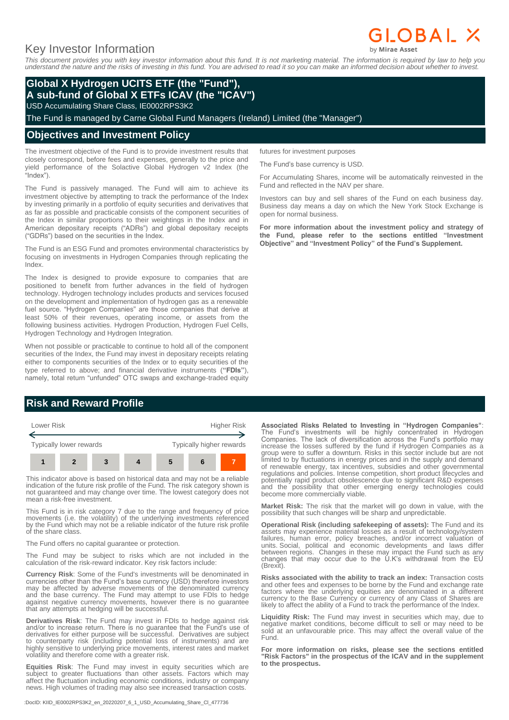# Key Investor Information

*This document provides you with key investor information about this fund. It is not marketing material. The information is required by law to help you understand the nature and the risks of investing in this fund. You are advised to read it so you can make an informed decision about whether to invest.*

## **Global X Hydrogen UCITS ETF (the "Fund"), A sub-fund of Global X ETFs ICAV (the "ICAV")**

USD Accumulating Share Class, IE0002RPS3K2

The Fund is managed by Carne Global Fund Managers (Ireland) Limited (the "Manager")

#### **Objectives and Investment Policy**

The investment objective of the Fund is to provide investment results that closely correspond, before fees and expenses, generally to the price and yield performance of the Solactive Global Hydrogen v2 Index (the "Index").

The Fund is passively managed. The Fund will aim to achieve its investment objective by attempting to track the performance of the Index by investing primarily in a portfolio of equity securities and derivatives that as far as possible and practicable consists of the component securities of the Index in similar proportions to their weightings in the Index and in American depositary receipts ("ADRs") and global depositary receipts ("GDRs") based on the securities in the Index.

The Fund is an ESG Fund and promotes environmental characteristics by focusing on investments in Hydrogen Companies through replicating the Index.

The Index is designed to provide exposure to companies that are positioned to benefit from further advances in the field of hydrogen technology. Hydrogen technology includes products and services focused on the development and implementation of hydrogen gas as a renewable fuel source. "Hydrogen Companies" are those companies that derive at least 50% of their revenues, operating income, or assets from the following business activities. Hydrogen Production, Hydrogen Fuel Cells, Hydrogen Technology and Hydrogen Integration.

When not possible or practicable to continue to hold all of the component securities of the Index, the Fund may invest in depositary receipts relating either to components securities of the Index or to equity securities of the type referred to above; and financial derivative instruments (**"FDIs"**), namely, total return "unfunded" OTC swaps and exchange-traded equity

## The Fund's base currency is USD.

futures for investment purposes

For Accumulating Shares, income will be automatically reinvested in the Fund and reflected in the NAV per share.

Investors can buy and sell shares of the Fund on each business day. Business day means a day on which the New York Stock Exchange is open for normal business.

**For more information about the investment policy and strategy of the Fund, please refer to the sections entitled "Investment Objective" and "Investment Policy" of the Fund's Supplement.**

## **Risk and Reward Profile**



This indicator above is based on historical data and may not be a reliable indication of the future risk profile of the Fund. The risk category shown is not guaranteed and may change over time. The lowest category does not mean a risk-free investment.

This Fund is in risk category 7 due to the range and frequency of price movements (i.e. the volatility) of the underlying investments referenced by the Fund which may not be a reliable indicator of the future risk profile of the share class.

The Fund offers no capital guarantee or protection.

The Fund may be subject to risks which are not included in the calculation of the risk-reward indicator. Key risk factors include:

**Currency Risk**: Some of the Fund's investments will be denominated in currencies other than the Fund's base currency (USD) therefore investors may be affected by adverse movements of the denominated currency and the base currency. The Fund may attempt to use FDIs to hedge against negative currency movements, however there is no guarantee that any attempts at hedging will be successful.

**Derivatives Risk**: The Fund may invest in FDIs to hedge against risk and/or to increase return. There is no guarantee that the Fund's use of derivatives for either purpose will be successful. Derivatives are subject to counterparty risk (including potential loss of instruments) and are highly sensitive to underlying price movements, interest rates and market volatility and therefore come with a greater risk.

**Equities Risk**: The Fund may invest in equity securities which are subject to greater fluctuations than other assets. Factors which may affect the fluctuation including economic conditions, industry or company news. High volumes of trading may also see increased transaction costs.

:DocID: KIID\_IE0002RPS3K2\_en\_20220207\_6\_1\_USD\_Accumulating\_Share\_Cl\_477736

**Associated Risks Related to Investing in "Hydrogen Companies"**: The Fund's investments will be highly concentrated in Hydrogen Companies. The lack of diversification across the Fund's portfolio may increase the losses suffered by the fund if Hydrogen Companies as a group were to suffer a downturn. Risks in this sector include but are not limited to by fluctuations in energy prices and in the supply and demand of renewable energy, tax incentives, subsidies and other governmental regulations and policies. Intense competition, short product lifecycles and potentially rapid product obsolescence due to significant R&D expenses and the possibility that other emerging energy technologies could become more commercially viable.

**Market Risk:** The risk that the market will go down in value, with the possibility that such changes will be sharp and unpredictable.

**Operational Risk (including safekeeping of assets):** The Fund and its assets may experience material losses as a result of technology/system failures, human error, policy breaches, and/or incorrect valuation of units. Social, political and economic developments and laws differ between regions. Changes in these may impact the Fund such as any changes that may occur due to the U.K's withdrawal from the EU (Brexit).

**Risks associated with the ability to track an index:** Transaction costs and other fees and expenses to be borne by the Fund and exchange rate factors where the underlying equities are denominated in a different currency to the Base Currency or currency of any Class of Shares are likely to affect the ability of a Fund to track the performance of the Index.

**Liquidity Risk:** The Fund may invest in securities which may, due to negative market conditions, become difficult to sell or may need to be sold at an unfavourable price. This may affect the overall value of the Fund.

**For more information on risks, please see the sections entitled "Risk Factors" in the prospectus of the ICAV and in the supplement to the prospectus.**

# **GLOBAL X**